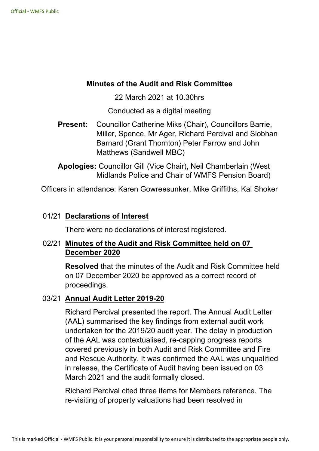### **Minutes of the Audit and Risk Committee**

22 March 2021 at 10.30hrs

Conducted as a digital meeting

**Present:** Councillor Catherine Miks (Chair), Councillors Barrie, Miller, Spence, Mr Ager, Richard Percival and Siobhan Barnard (Grant Thornton) Peter Farrow and John Matthews (Sandwell MBC)

**Apologies:** Councillor Gill (Vice Chair), Neil Chamberlain (West Midlands Police and Chair of WMFS Pension Board)

Officers in attendance: Karen Gowreesunker, Mike Griffiths, Kal Shoker

## 01/21 **Declarations of Interest**

There were no declarations of interest registered.

# 02/21 **Minutes of the Audit and Risk Committee held on 07 December 2020**

**Resolved** that the minutes of the Audit and Risk Committee held on 07 December 2020 be approved as a correct record of proceedings.

## 03/21 **Annual Audit Letter 201920**

Richard Percival presented the report. The Annual Audit Letter (AAL) summarised the key findings from external audit work undertaken for the 2019/20 audit year. The delay in production of the AAL was contextualised, re-capping progress reports covered previously in both Audit and Risk Committee and Fire and Rescue Authority. It was confirmed the AAL was unqualified in release, the Certificate of Audit having been issued on 03 March 2021 and the audit formally closed.

Richard Percival cited three items for Members reference. The re-visiting of property valuations had been resolved in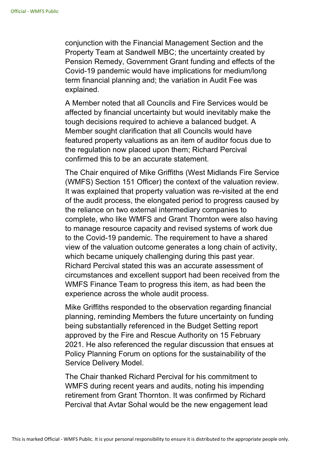conjunction with the Financial Management Section and the Property Team at Sandwell MBC; the uncertainty created by Pension Remedy, Government Grant funding and effects of the Covid-19 pandemic would have implications for medium/long term financial planning and; the variation in Audit Fee was explained.

A Member noted that all Councils and Fire Services would be affected by financial uncertainty but would inevitably make the tough decisions required to achieve a balanced budget. A Member sought clarification that all Councils would have featured property valuations as an item of auditor focus due to the regulation now placed upon them; Richard Percival confirmed this to be an accurate statement.

The Chair enquired of Mike Griffiths (West Midlands Fire Service (WMFS) Section 151 Officer) the context of the valuation review. It was explained that property valuation was re-visited at the end of the audit process, the elongated period to progress caused by the reliance on two external intermediary companies to complete, who like WMFS and Grant Thornton were also having to manage resource capacity and revised systems of work due to the Covid-19 pandemic. The requirement to have a shared view of the valuation outcome generates a long chain of activity, which became uniquely challenging during this past year. Richard Percival stated this was an accurate assessment of circumstances and excellent support had been received from the WMFS Finance Team to progress this item, as had been the experience across the whole audit process.

Mike Griffiths responded to the observation regarding financial planning, reminding Members the future uncertainty on funding being substantially referenced in the Budget Setting report approved by the Fire and Rescue Authority on 15 February 2021. He also referenced the regular discussion that ensues at Policy Planning Forum on options for the sustainability of the Service Delivery Model.

The Chair thanked Richard Percival for his commitment to WMFS during recent years and audits, noting his impending retirement from Grant Thornton. It was confirmed by Richard Percival that Avtar Sohal would be the new engagement lead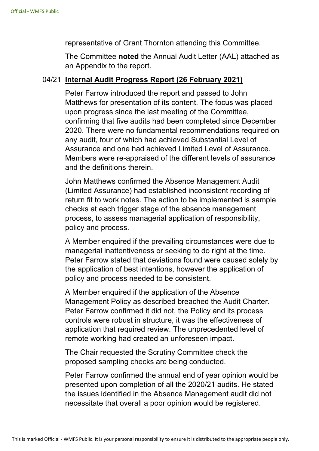representative of Grant Thornton attending this Committee.

The Committee **noted** the Annual Audit Letter (AAL) attached as an Appendix to the report.

#### 04/21 **Internal Audit Progress Report (26 February 2021)**

Peter Farrow introduced the report and passed to John Matthews for presentation of its content. The focus was placed upon progress since the last meeting of the Committee, confirming that five audits had been completed since December 2020. There were no fundamental recommendations required on any audit, four of which had achieved Substantial Level of Assurance and one had achieved Limited Level of Assurance. Members were re-appraised of the different levels of assurance and the definitions therein.

John Matthews confirmed the Absence Management Audit (Limited Assurance) had established inconsistent recording of return fit to work notes. The action to be implemented is sample checks at each trigger stage of the absence management process, to assess managerial application of responsibility, policy and process.

A Member enquired if the prevailing circumstances were due to managerial inattentiveness or seeking to do right at the time. Peter Farrow stated that deviations found were caused solely by the application of best intentions, however the application of policy and process needed to be consistent.

A Member enquired if the application of the Absence Management Policy as described breached the Audit Charter. Peter Farrow confirmed it did not, the Policy and its process controls were robust in structure, it was the effectiveness of application that required review. The unprecedented level of remote working had created an unforeseen impact.

The Chair requested the Scrutiny Committee check the proposed sampling checks are being conducted.

Peter Farrow confirmed the annual end of year opinion would be presented upon completion of all the 2020/21 audits. He stated the issues identified in the Absence Management audit did not necessitate that overall a poor opinion would be registered.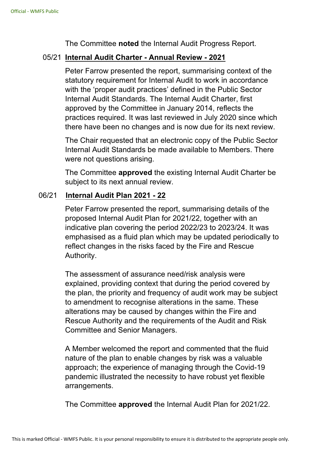The Committee **noted** the Internal Audit Progress Report.

### 05/21 **Internal Audit Charter Annual Review 2021**

Peter Farrow presented the report, summarising context of the statutory requirement for Internal Audit to work in accordance with the 'proper audit practices' defined in the Public Sector Internal Audit Standards. The Internal Audit Charter, first approved by the Committee in January 2014, reflects the practices required. It was last reviewed in July 2020 since which there have been no changes and is now due for its next review.

The Chair requested that an electronic copy of the Public Sector Internal Audit Standards be made available to Members. There were not questions arising.

The Committee **approved** the existing Internal Audit Charter be subject to its next annual review.

#### 06/21 **Internal Audit Plan 2021 22**

Peter Farrow presented the report, summarising details of the proposed Internal Audit Plan for 2021/22, together with an indicative plan covering the period 2022/23 to 2023/24. It was emphasised as a fluid plan which may be updated periodically to reflect changes in the risks faced by the Fire and Rescue Authority.

The assessment of assurance need/risk analysis were explained, providing context that during the period covered by the plan, the priority and frequency of audit work may be subject to amendment to recognise alterations in the same. These alterations may be caused by changes within the Fire and Rescue Authority and the requirements of the Audit and Risk Committee and Senior Managers.

A Member welcomed the report and commented that the fluid nature of the plan to enable changes by risk was a valuable approach; the experience of managing through the Covid-19 pandemic illustrated the necessity to have robust yet flexible arrangements.

The Committee **approved** the Internal Audit Plan for 2021/22.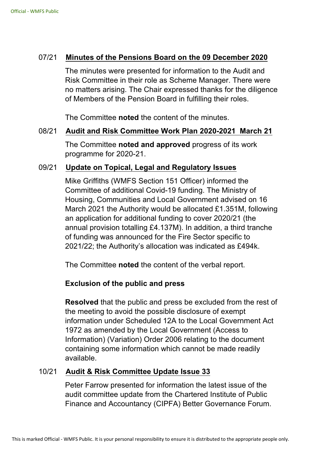### 07/21 **Minutes of the Pensions Board on the 09 December 2020**

The minutes were presented for information to the Audit and Risk Committee in their role as Scheme Manager. There were no matters arising. The Chair expressed thanks for the diligence of Members of the Pension Board in fulfilling their roles.

The Committee **noted** the content of the minutes.

#### 08/21 **Audit and Risk Committee Work Plan 20202021 March 21**

The Committee **noted and approved** progress of its work programme for 2020-21.

## 09/21 **Update on Topical, Legal and Regulatory Issues**

Mike Griffiths (WMFS Section 151 Officer) informed the Committee of additional Covid-19 funding. The Ministry of Housing, Communities and Local Government advised on 16 March 2021 the Authority would be allocated £1.351M, following an application for additional funding to cover 2020/21 (the annual provision totalling £4.137M). In addition, a third tranche of funding was announced for the Fire Sector specific to 2021/22; the Authority's allocation was indicated as £494k.

The Committee **noted** the content of the verbal report.

## **Exclusion of the public and press**

**Resolved** that the public and press be excluded from the rest of the meeting to avoid the possible disclosure of exempt information under Scheduled 12A to the Local Government Act 1972 as amended by the Local Government (Access to Information) (Variation) Order 2006 relating to the document containing some information which cannot be made readily available.

#### 10/21 **Audit & Risk Committee Update Issue 33**

Peter Farrow presented for information the latest issue of the audit committee update from the Chartered Institute of Public Finance and Accountancy (CIPFA) Better Governance Forum.